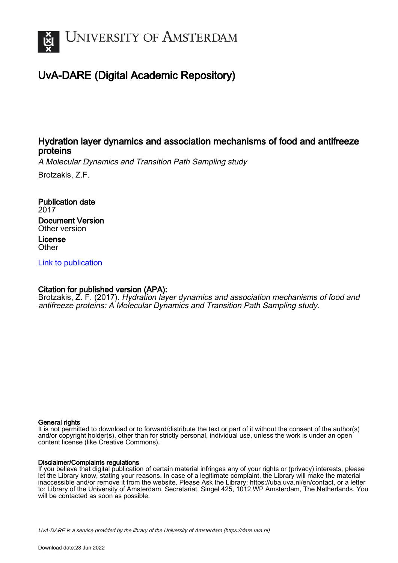

# UvA-DARE (Digital Academic Repository)

# Hydration layer dynamics and association mechanisms of food and antifreeze proteins

A Molecular Dynamics and Transition Path Sampling study

Brotzakis, Z.F.

Publication date 2017 Document Version Other version License

**Other** 

[Link to publication](https://dare.uva.nl/personal/pure/en/publications/hydration-layer-dynamics-and-association-mechanisms-of-food-and-antifreeze-proteins(e4939e56-b80b-435e-bb4c-56d1c6142e1b).html)

## Citation for published version (APA):

Brotzakis, Z. F. (2017). Hydration layer dynamics and association mechanisms of food and antifreeze proteins: A Molecular Dynamics and Transition Path Sampling study.

#### General rights

It is not permitted to download or to forward/distribute the text or part of it without the consent of the author(s) and/or copyright holder(s), other than for strictly personal, individual use, unless the work is under an open content license (like Creative Commons).

#### Disclaimer/Complaints regulations

If you believe that digital publication of certain material infringes any of your rights or (privacy) interests, please let the Library know, stating your reasons. In case of a legitimate complaint, the Library will make the material inaccessible and/or remove it from the website. Please Ask the Library: https://uba.uva.nl/en/contact, or a letter to: Library of the University of Amsterdam, Secretariat, Singel 425, 1012 WP Amsterdam, The Netherlands. You will be contacted as soon as possible.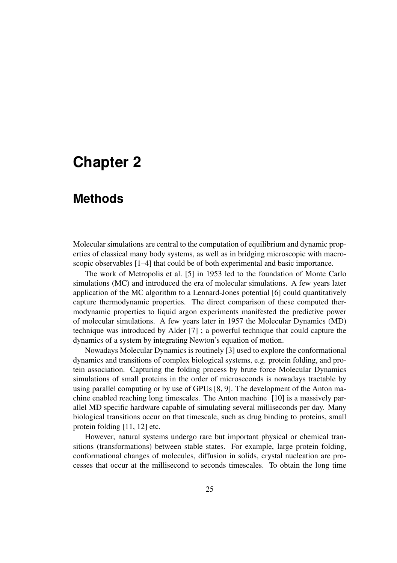# **Chapter 2**

# **Methods**

Molecular simulations are central to the computation of equilibrium and dynamic properties of classical many body systems, as well as in bridging microscopic with macroscopic observables [1–4] that could be of both experimental and basic importance.

The work of Metropolis et al. [5] in 1953 led to the foundation of Monte Carlo simulations (MC) and introduced the era of molecular simulations. A few years later application of the MC algorithm to a Lennard-Jones potential [6] could quantitatively capture thermodynamic properties. The direct comparison of these computed thermodynamic properties to liquid argon experiments manifested the predictive power of molecular simulations. A few years later in 1957 the Molecular Dynamics (MD) technique was introduced by Alder [7] ; a powerful technique that could capture the dynamics of a system by integrating Newton's equation of motion.

Nowadays Molecular Dynamics is routinely [3] used to explore the conformational dynamics and transitions of complex biological systems, e.g. protein folding, and protein association. Capturing the folding process by brute force Molecular Dynamics simulations of small proteins in the order of microseconds is nowadays tractable by using parallel computing or by use of GPUs [8, 9]. The development of the Anton machine enabled reaching long timescales. The Anton machine [10] is a massively parallel MD specific hardware capable of simulating several milliseconds per day. Many biological transitions occur on that timescale, such as drug binding to proteins, small protein folding [11, 12] etc.

However, natural systems undergo rare but important physical or chemical transitions (transformations) between stable states. For example, large protein folding, conformational changes of molecules, diffusion in solids, crystal nucleation are processes that occur at the millisecond to seconds timescales. To obtain the long time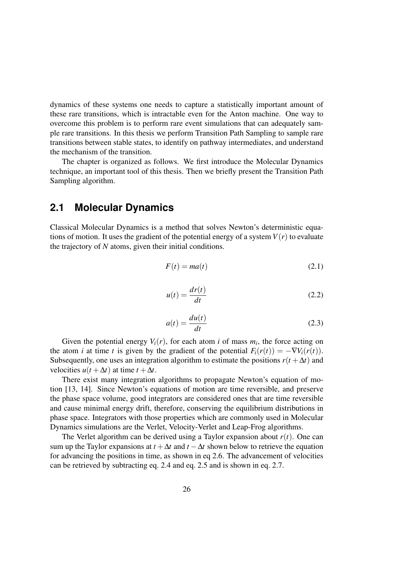dynamics of these systems one needs to capture a statistically important amount of these rare transitions, which is intractable even for the Anton machine. One way to overcome this problem is to perform rare event simulations that can adequately sample rare transitions. In this thesis we perform Transition Path Sampling to sample rare transitions between stable states, to identify on pathway intermediates, and understand the mechanism of the transition.

The chapter is organized as follows. We first introduce the Molecular Dynamics technique, an important tool of this thesis. Then we briefly present the Transition Path Sampling algorithm.

## **2.1 Molecular Dynamics**

Classical Molecular Dynamics is a method that solves Newton's deterministic equations of motion. It uses the gradient of the potential energy of a system  $V(r)$  to evaluate the trajectory of *N* atoms, given their initial conditions.

$$
F(t) = ma(t) \tag{2.1}
$$

$$
u(t) = \frac{dr(t)}{dt}
$$
 (2.2)

$$
a(t) = \frac{du(t)}{dt}
$$
 (2.3)

Given the potential energy  $V_i(r)$ , for each atom *i* of mass  $m_i$ , the force acting on the atom *i* at time *t* is given by the gradient of the potential  $F_i(r(t)) = -\nabla V_i(r(t))$ . Subsequently, one uses an integration algorithm to estimate the positions  $r(t + \Delta t)$  and velocities  $u(t + \Delta t)$  at time  $t + \Delta t$ .

There exist many integration algorithms to propagate Newton's equation of motion [13, 14]. Since Newton's equations of motion are time reversible, and preserve the phase space volume, good integrators are considered ones that are time reversible and cause minimal energy drift, therefore, conserving the equilibrium distributions in phase space. Integrators with those properties which are commonly used in Molecular Dynamics simulations are the Verlet, Velocity-Verlet and Leap-Frog algorithms.

The Verlet algorithm can be derived using a Taylor expansion about  $r(t)$ . One can sum up the Taylor expansions at  $t + \Delta t$  and  $t - \Delta t$  shown below to retrieve the equation for advancing the positions in time, as shown in eq 2.6. The advancement of velocities can be retrieved by subtracting eq. 2.4 and eq. 2.5 and is shown in eq. 2.7.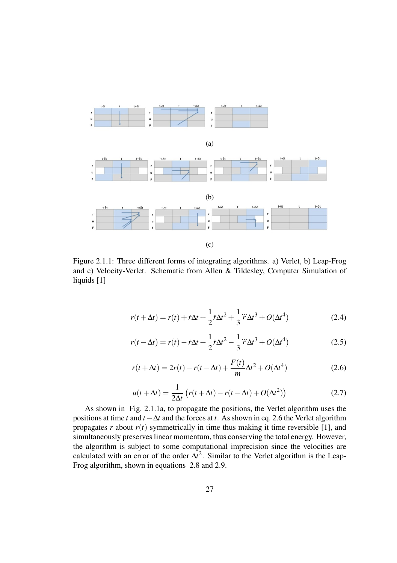

Figure 2.1.1: Three different forms of integrating algorithms. a) Verlet, b) Leap-Frog and c) Velocity-Verlet. Schematic from Allen & Tildesley, Computer Simulation of liquids [1]

$$
r(t + \Delta t) = r(t) + \dot{r}\Delta t + \frac{1}{2}\ddot{r}\Delta t^2 + \frac{1}{3}\dddot{r}\Delta t^3 + O(\Delta t^4)
$$
 (2.4)

$$
r(t - \Delta t) = r(t) - \dot{r}\Delta t + \frac{1}{2}\ddot{r}\Delta t^2 - \frac{1}{3}\dddot{r}\Delta t^3 + O(\Delta t^4)
$$
 (2.5)

$$
r(t + \Delta t) = 2r(t) - r(t - \Delta t) + \frac{F(t)}{m} \Delta t^2 + O(\Delta t^4)
$$
 (2.6)

$$
u(t + \Delta t) = \frac{1}{2\Delta t} \left( r(t + \Delta t) - r(t - \Delta t) + O(\Delta t^2) \right)
$$
 (2.7)

As shown in Fig. 2.1.1a, to propagate the positions, the Verlet algorithm uses the positions at time *t* and *t* −∆*t* and the forces at *t*. As shown in eq. 2.6 the Verlet algorithm propagates  $r$  about  $r(t)$  symmetrically in time thus making it time reversible [1], and simultaneously preserves linear momentum, thus conserving the total energy. However, the algorithm is subject to some computational imprecision since the velocities are calculated with an error of the order  $\Delta t^2$ . Similar to the Verlet algorithm is the Leap-Frog algorithm, shown in equations 2.8 and 2.9.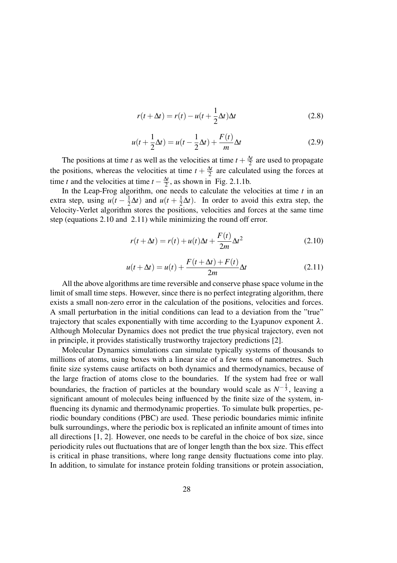$$
r(t + \Delta t) = r(t) - u(t + \frac{1}{2}\Delta t)\Delta t
$$
\n(2.8)

$$
u(t + \frac{1}{2}\Delta t) = u(t - \frac{1}{2}\Delta t) + \frac{F(t)}{m}\Delta t
$$
\n(2.9)

The positions at time *t* as well as the velocities at time  $t + \frac{\Delta t}{2}$  are used to propagate the positions, whereas the velocities at time  $t + \frac{\Delta t}{2}$  are calculated using the forces at time *t* and the velocities at time  $t - \frac{\Delta t}{2}$ , as shown in Fig. 2.1.1b.

In the Leap-Frog algorithm, one needs to calculate the velocities at time *t* in an extra step, using  $u(t - \frac{1}{2}\Delta t)$  and  $u(t + \frac{1}{2}\Delta t)$ . In order to avoid this extra step, the Velocity-Verlet algorithm stores the positions, velocities and forces at the same time step (equations 2.10 and 2.11) while minimizing the round off error.

$$
r(t + \Delta t) = r(t) + u(t)\Delta t + \frac{F(t)}{2m}\Delta t^2
$$
\n(2.10)

$$
u(t + \Delta t) = u(t) + \frac{F(t + \Delta t) + F(t)}{2m} \Delta t
$$
\n(2.11)

All the above algorithms are time reversible and conserve phase space volume in the limit of small time steps. However, since there is no perfect integrating algorithm, there exists a small non-zero error in the calculation of the positions, velocities and forces. A small perturbation in the initial conditions can lead to a deviation from the "true" trajectory that scales exponentially with time according to the Lyapunov exponent  $\lambda$ . Although Molecular Dynamics does not predict the true physical trajectory, even not in principle, it provides statistically trustworthy trajectory predictions [2].

Molecular Dynamics simulations can simulate typically systems of thousands to millions of atoms, using boxes with a linear size of a few tens of nanometres. Such finite size systems cause artifacts on both dynamics and thermodynamics, because of the large fraction of atoms close to the boundaries. If the system had free or wall boundaries, the fraction of particles at the boundary would scale as  $N^{-\frac{1}{3}}$ , leaving a significant amount of molecules being influenced by the finite size of the system, influencing its dynamic and thermodynamic properties. To simulate bulk properties, periodic boundary conditions (PBC) are used. These periodic boundaries mimic infinite bulk surroundings, where the periodic box is replicated an infinite amount of times into all directions [1, 2]. However, one needs to be careful in the choice of box size, since periodicity rules out fluctuations that are of longer length than the box size. This effect is critical in phase transitions, where long range density fluctuations come into play. In addition, to simulate for instance protein folding transitions or protein association,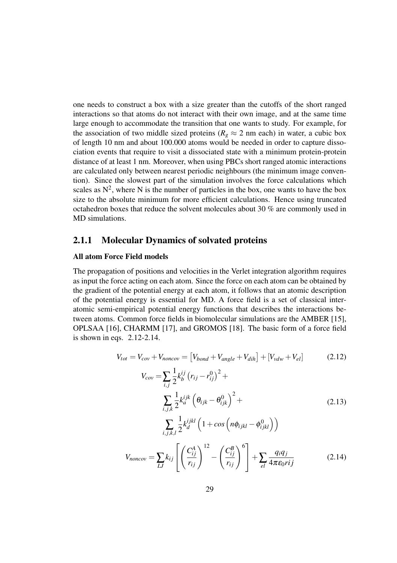one needs to construct a box with a size greater than the cutoffs of the short ranged interactions so that atoms do not interact with their own image, and at the same time large enough to accommodate the transition that one wants to study. For example, for the association of two middle sized proteins ( $R_g \approx 2$  nm each) in water, a cubic box of length 10 nm and about 100.000 atoms would be needed in order to capture dissociation events that require to visit a dissociated state with a minimum protein-protein distance of at least 1 nm. Moreover, when using PBCs short ranged atomic interactions are calculated only between nearest periodic neighbours (the minimum image convention). Since the slowest part of the simulation involves the force calculations which scales as  $N^2$ , where N is the number of particles in the box, one wants to have the box size to the absolute minimum for more efficient calculations. Hence using truncated octahedron boxes that reduce the solvent molecules about 30 % are commonly used in MD simulations.

#### 2.1.1 Molecular Dynamics of solvated proteins

#### All atom Force Field models

The propagation of positions and velocities in the Verlet integration algorithm requires as input the force acting on each atom. Since the force on each atom can be obtained by the gradient of the potential energy at each atom, it follows that an atomic description of the potential energy is essential for MD. A force field is a set of classical interatomic semi-empirical potential energy functions that describes the interactions between atoms. Common force fields in biomolecular simulations are the AMBER [15], OPLSAA [16], CHARMM [17], and GROMOS [18]. The basic form of a force field is shown in eqs. 2.12-2.14.

$$
V_{tot} = V_{cov} + V_{noncov} = [V_{bond} + V_{angle} + V_{dih}] + [V_{vdw} + V_{el}]
$$
\n(2.12)

$$
V_{cov} = \sum_{i,j} \frac{1}{2} k_b^{ij} (r_{ij} - r_{ij}^0)^2 +
$$
  

$$
\sum_{i,j,k} \frac{1}{2} k_a^{ijk} (\theta_{ijk} - \theta_{ijk}^0)^2 +
$$
  

$$
\sum_{i,j,k,l} \frac{1}{2} k_d^{ijkl} (1 + \cos(n\phi_{ijkl} - \phi_{ijkl}^0))
$$
  

$$
V_{noncov} = \sum_{LJ} k_{ij} \left[ \left( \frac{C_{ij}^A}{r_{ij}} \right)^{12} - \left( \frac{C_{ij}^B}{r_{ij}} \right)^6 \right] + \sum_{el} \frac{q_i q_j}{4 \pi \epsilon_0 r i j}
$$
 (2.14)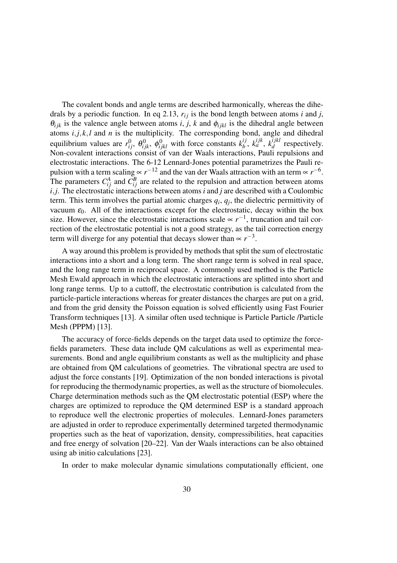The covalent bonds and angle terms are described harmonically, whereas the dihedrals by a periodic function. In eq 2.13,  $r_{ij}$  is the bond length between atoms *i* and *j*,  $\theta_{ijk}$  is the valence angle between atoms *i*, *j*, *k* and  $\phi_{ijkl}$  is the dihedral angle between atoms *i*,*j*, *k*,*l* and *n* is the multiplicity. The corresponding bond, angle and dihedral equilibrium values are  $r_{ij}^0$ ,  $\theta_{ijk}^0$ ,  $\phi_{ijkl}^0$  with force constants  $k_b^{ij}$  $\frac{ij}{b}$ ,  $k_a^{ijk}$ ,  $k_d^{ijkl}$  $d \text{ respectively.}$ Non-covalent interactions consist of van der Waals interactions, Pauli repulsions and electrostatic interactions. The 6-12 Lennard-Jones potential parametrizes the Pauli repulsion with a term scaling  $\propto r^{-12}$  and the van der Waals attraction with an term  $\propto r^{-6}$ . The parameters  $C_{ij}^A$  and  $C_{ij}^B$  are related to the repulsion and attraction between atoms *i*,*j*. The electrostatic interactions between atoms *i* and *j* are described with a Coulombic term. This term involves the partial atomic charges  $q_i$ ,  $q_j$ , the dielectric permittivity of vacuum  $\varepsilon_0$ . All of the interactions except for the electrostatic, decay within the box size. However, since the electrostatic interactions scale  $\propto r^{-1}$ , truncation and tail correction of the electrostatic potential is not a good strategy, as the tail correction energy term will diverge for any potential that decays slower than  $\propto r^{-3}$ .

A way around this problem is provided by methods that split the sum of electrostatic interactions into a short and a long term. The short range term is solved in real space, and the long range term in reciprocal space. A commonly used method is the Particle Mesh Ewald approach in which the electrostatic interactions are splitted into short and long range terms. Up to a cuttoff, the electrostatic contribution is calculated from the particle-particle interactions whereas for greater distances the charges are put on a grid, and from the grid density the Poisson equation is solved efficiently using Fast Fourier Transform techniques [13]. A similar often used technique is Particle Particle /Particle Mesh (PPPM) [13].

The accuracy of force-fields depends on the target data used to optimize the forcefields parameters. These data include QM calculations as well as experimental measurements. Bond and angle equilibrium constants as well as the multiplicity and phase are obtained from QM calculations of geometries. The vibrational spectra are used to adjust the force constants [19]. Optimization of the non bonded interactions is pivotal for reproducing the thermodynamic properties, as well as the structure of biomolecules. Charge determination methods such as the QM electrostatic potential (ESP) where the charges are optimized to reproduce the QM determined ESP is a standard approach to reproduce well the electronic properties of molecules. Lennard-Jones parameters are adjusted in order to reproduce experimentally determined targeted thermodynamic properties such as the heat of vaporization, density, compressibilities, heat capacities and free energy of solvation [20–22]. Van der Waals interactions can be also obtained using ab initio calculations [23].

In order to make molecular dynamic simulations computationally efficient, one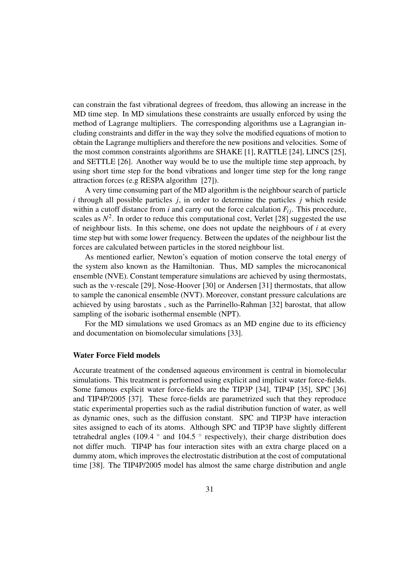can constrain the fast vibrational degrees of freedom, thus allowing an increase in the MD time step. In MD simulations these constraints are usually enforced by using the method of Lagrange multipliers. The corresponding algorithms use a Lagrangian including constraints and differ in the way they solve the modified equations of motion to obtain the Lagrange multipliers and therefore the new positions and velocities. Some of the most common constraints algorithms are SHAKE [1], RATTLE [24], LINCS [25], and SETTLE [26]. Another way would be to use the multiple time step approach, by using short time step for the bond vibrations and longer time step for the long range attraction forces (e.g RESPA algorithm [27]).

A very time consuming part of the MD algorithm is the neighbour search of particle *i* through all possible particles *j*, in order to determine the particles *j* which reside within a cutoff distance from *i* and carry out the force calculation  $F_i$ . This procedure, scales as  $N^2$ . In order to reduce this computational cost, Verlet [28] suggested the use of neighbour lists. In this scheme, one does not update the neighbours of *i* at every time step but with some lower frequency. Between the updates of the neighbour list the forces are calculated between particles in the stored neighbour list.

As mentioned earlier, Newton's equation of motion conserve the total energy of the system also known as the Hamiltonian. Thus, MD samples the microcanonical ensemble (NVE). Constant temperature simulations are achieved by using thermostats, such as the v-rescale [29], Nose-Hoover [30] or Andersen [31] thermostats, that allow to sample the canonical ensemble (NVT). Moreover, constant pressure calculations are achieved by using barostats , such as the Parrinello-Rahman [32] barostat, that allow sampling of the isobaric isothermal ensemble (NPT).

For the MD simulations we used Gromacs as an MD engine due to its efficiency and documentation on biomolecular simulations [33].

#### Water Force Field models

Accurate treatment of the condensed aqueous environment is central in biomolecular simulations. This treatment is performed using explicit and implicit water force-fields. Some famous explicit water force-fields are the TIP3P [34], TIP4P [35], SPC [36] and TIP4P/2005 [37]. These force-fields are parametrized such that they reproduce static experimental properties such as the radial distribution function of water, as well as dynamic ones, such as the diffusion constant. SPC and TIP3P have interaction sites assigned to each of its atoms. Although SPC and TIP3P have slightly different tetrahedral angles (109.4 ° and 104.5 ° respectively), their charge distribution does not differ much. TIP4P has four interaction sites with an extra charge placed on a dummy atom, which improves the electrostatic distribution at the cost of computational time [38]. The TIP4P/2005 model has almost the same charge distribution and angle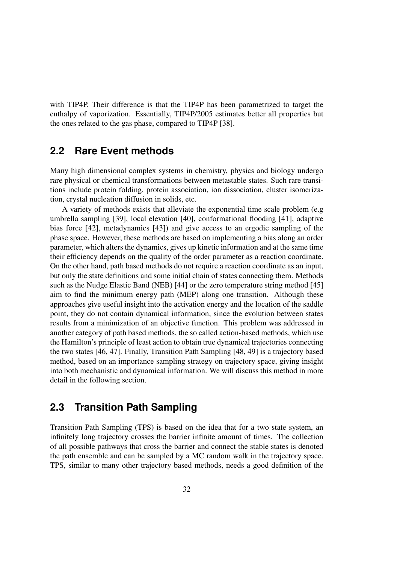with TIP4P. Their difference is that the TIP4P has been parametrized to target the enthalpy of vaporization. Essentially, TIP4P/2005 estimates better all properties but the ones related to the gas phase, compared to TIP4P [38].

### **2.2 Rare Event methods**

Many high dimensional complex systems in chemistry, physics and biology undergo rare physical or chemical transformations between metastable states. Such rare transitions include protein folding, protein association, ion dissociation, cluster isomerization, crystal nucleation diffusion in solids, etc.

A variety of methods exists that alleviate the exponential time scale problem (e.g umbrella sampling [39], local elevation [40], conformational flooding [41], adaptive bias force [42], metadynamics [43]) and give access to an ergodic sampling of the phase space. However, these methods are based on implementing a bias along an order parameter, which alters the dynamics, gives up kinetic information and at the same time their efficiency depends on the quality of the order parameter as a reaction coordinate. On the other hand, path based methods do not require a reaction coordinate as an input, but only the state definitions and some initial chain of states connecting them. Methods such as the Nudge Elastic Band (NEB) [44] or the zero temperature string method [45] aim to find the minimum energy path (MEP) along one transition. Although these approaches give useful insight into the activation energy and the location of the saddle point, they do not contain dynamical information, since the evolution between states results from a minimization of an objective function. This problem was addressed in another category of path based methods, the so called action-based methods, which use the Hamilton's principle of least action to obtain true dynamical trajectories connecting the two states [46, 47]. Finally, Transition Path Sampling [48, 49] is a trajectory based method, based on an importance sampling strategy on trajectory space, giving insight into both mechanistic and dynamical information. We will discuss this method in more detail in the following section.

## **2.3 Transition Path Sampling**

Transition Path Sampling (TPS) is based on the idea that for a two state system, an infinitely long trajectory crosses the barrier infinite amount of times. The collection of all possible pathways that cross the barrier and connect the stable states is denoted the path ensemble and can be sampled by a MC random walk in the trajectory space. TPS, similar to many other trajectory based methods, needs a good definition of the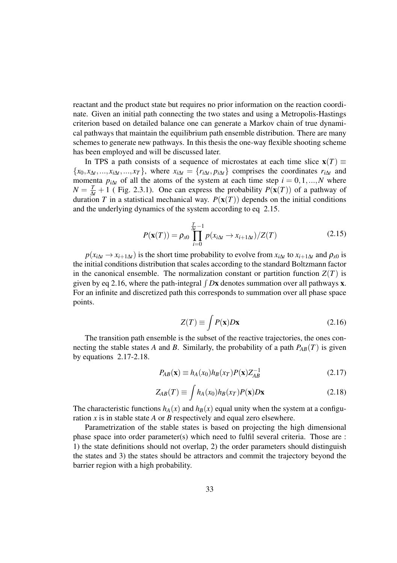reactant and the product state but requires no prior information on the reaction coordinate. Given an initial path connecting the two states and using a Metropolis-Hastings criterion based on detailed balance one can generate a Markov chain of true dynamical pathways that maintain the equilibrium path ensemble distribution. There are many schemes to generate new pathways. In this thesis the one-way flexible shooting scheme has been employed and will be discussed later.

In TPS a path consists of a sequence of microstates at each time slice  $\mathbf{x}(T) \equiv$  $\{x_0, x_{\Delta t}, ..., x_{i\Delta t}, ..., x_T\}$ , where  $x_{i\Delta t} = \{r_{i\Delta t}, p_{i\Delta t}\}\$  comprises the coordinates  $r_{i\Delta t}$  and momenta  $p_{i\Delta t}$  of all the atoms of the system at each time step  $i = 0, 1, ..., N$  where  $N = \frac{T}{\Delta t} + 1$  (Fig. 2.3.1). One can express the probability  $P(\mathbf{x}(T))$  of a pathway of duration *T* in a statistical mechanical way.  $P(x(T))$  depends on the initial conditions and the underlying dynamics of the system according to eq 2.15.

$$
P(\mathbf{x}(T)) = \rho_{x0} \prod_{i=0}^{\frac{T}{\Delta t} - 1} p(x_{i\Delta t} \to x_{i+1\Delta t}) / Z(T)
$$
 (2.15)

 $p(x_{i\Delta t} \rightarrow x_{i+1\Delta t})$  is the short time probability to evolve from  $x_{i\Delta t}$  to  $x_{i+1\Delta t}$  and  $\rho_{x0}$  is the initial conditions distribution that scales according to the standard Boltzmann factor in the canonical ensemble. The normalization constant or partition function  $Z(T)$  is given by eq 2.16, where the path-integral  $\int Dx$  denotes summation over all pathways x. For an infinite and discretized path this corresponds to summation over all phase space points.

$$
Z(T) \equiv \int P(\mathbf{x}) D\mathbf{x} \tag{2.16}
$$

The transition path ensemble is the subset of the reactive trajectories, the ones connecting the stable states *A* and *B*. Similarly, the probability of a path  $P_{AB}(T)$  is given by equations 2.17-2.18.

$$
P_{AB}(\mathbf{x}) \equiv h_A(x_0)h_B(x_T)P(\mathbf{x})Z_{AB}^{-1}
$$
\n(2.17)

$$
Z_{AB}(T) \equiv \int h_A(x_0) h_B(x_T) P(\mathbf{x}) D \mathbf{x}
$$
 (2.18)

The characteristic functions  $h_A(x)$  and  $h_B(x)$  equal unity when the system at a configuration *x* is in stable state *A* or *B* respectively and equal zero elsewhere.

Parametrization of the stable states is based on projecting the high dimensional phase space into order parameter(s) which need to fulfil several criteria. Those are : 1) the state definitions should not overlap, 2) the order parameters should distinguish the states and 3) the states should be attractors and commit the trajectory beyond the barrier region with a high probability.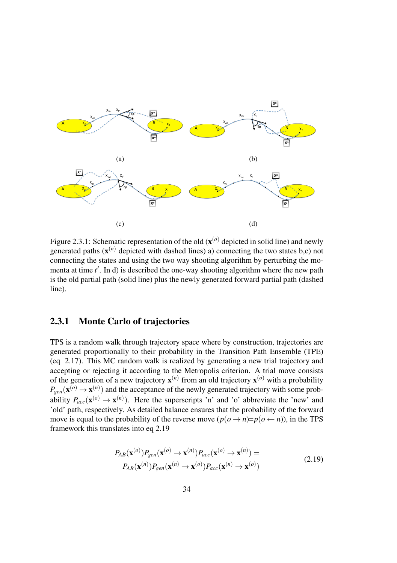

Figure 2.3.1: Schematic representation of the old  $(x^{(o)}$  depicted in solid line) and newly generated paths  $(x^{(n)}$  depicted with dashed lines) a) connecting the two states b,c) not connecting the states and using the two way shooting algorithm by perturbing the momenta at time *t'*. In d) is described the one-way shooting algorithm where the new path is the old partial path (solid line) plus the newly generated forward partial path (dashed line).

### 2.3.1 Monte Carlo of trajectories

TPS is a random walk through trajectory space where by construction, trajectories are generated proportionally to their probability in the Transition Path Ensemble (TPE) (eq 2.17). This MC random walk is realized by generating a new trial trajectory and accepting or rejecting it according to the Metropolis criterion. A trial move consists of the generation of a new trajectory  $\mathbf{x}^{(n)}$  from an old trajectory  $\mathbf{x}^{(o)}$  with a probability  $P_{gen}(\mathbf{x}^{(o)} \to \mathbf{x}^{(n)}$  and the acceptance of the newly generated trajectory with some probability  $P_{acc}(\mathbf{x}^{(o)} \to \mathbf{x}^{(n)})$ . Here the superscripts 'n' and 'o' abbreviate the 'new' and 'old' path, respectively. As detailed balance ensures that the probability of the forward move is equal to the probability of the reverse move  $(p(o \rightarrow n)=p(o \leftarrow n))$ , in the TPS framework this translates into eq 2.19

$$
P_{AB}(\mathbf{x}^{(o)})P_{gen}(\mathbf{x}^{(o)} \to \mathbf{x}^{(n)})P_{acc}(\mathbf{x}^{(o)} \to \mathbf{x}^{(n)}) =
$$
  
\n
$$
P_{AB}(\mathbf{x}^{(n)})P_{gen}(\mathbf{x}^{(n)} \to \mathbf{x}^{(o)})P_{acc}(\mathbf{x}^{(n)} \to \mathbf{x}^{(o)})
$$
\n(2.19)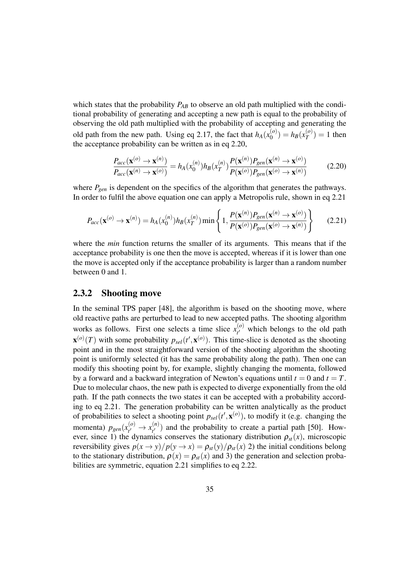which states that the probability  $P_{AB}$  to observe an old path multiplied with the conditional probability of generating and accepting a new path is equal to the probability of observing the old path multiplied with the probability of accepting and generating the old path from the new path. Using eq 2.17, the fact that  $h_A(x_0^{(o)})$  $b_0^{(o)}$ ) =  $h_B(x_T^{(o)})$  $T(T^{(0)}) = 1$  then the acceptance probability can be written as in eq 2.20,

$$
\frac{P_{acc}(\mathbf{x}^{(o)} \to \mathbf{x}^{(n)})}{P_{acc}(\mathbf{x}^{(n)} \to \mathbf{x}^{(o)})} = h_A(x_0^{(n)}) h_B(x_T^{(n)}) \frac{P(\mathbf{x}^{(n)}) P_{gen}(\mathbf{x}^{(n)} \to \mathbf{x}^{(o)})}{P(\mathbf{x}^{(o)}) P_{gen}(\mathbf{x}^{(o)} \to \mathbf{x}^{(n)})}
$$
(2.20)

where  $P_{gen}$  is dependent on the specifics of the algorithm that generates the pathways. In order to fulfil the above equation one can apply a Metropolis rule, shown in eq 2.21

$$
P_{acc}(\mathbf{x}^{(o)} \to \mathbf{x}^{(n)}) = h_A(x_0^{(n)}) h_B(x_T^{(n)}) \min\left\{1, \frac{P(\mathbf{x}^{(n)}) P_{gen}(\mathbf{x}^{(n)} \to \mathbf{x}^{(o)})}{P(\mathbf{x}^{(o)}) P_{gen}(\mathbf{x}^{(o)} \to \mathbf{x}^{(n)})}\right\}
$$
(2.21)

where the *min* function returns the smaller of its arguments. This means that if the acceptance probability is one then the move is accepted, whereas if it is lower than one the move is accepted only if the acceptance probability is larger than a random number between 0 and 1.

#### 2.3.2 Shooting move

In the seminal TPS paper [48], the algorithm is based on the shooting move, where old reactive paths are perturbed to lead to new accepted paths. The shooting algorithm works as follows. First one selects a time slice  $x_t^{(o)}$  $t_1^{(0)}$  which belongs to the old path  $\mathbf{x}^{(o)}(T)$  with some probability  $p_{sel}(t', \mathbf{x}^{(o)})$ . This time-slice is denoted as the shooting point and in the most straightforward version of the shooting algorithm the shooting point is uniformly selected (it has the same probability along the path). Then one can modify this shooting point by, for example, slightly changing the momenta, followed by a forward and a backward integration of Newton's equations until  $t = 0$  and  $t = T$ . Due to molecular chaos, the new path is expected to diverge exponentially from the old path. If the path connects the two states it can be accepted with a probability according to eq 2.21. The generation probability can be written analytically as the product of probabilities to select a shooting point  $p_{\text{sel}}(t', \mathbf{x}^{(o)})$ , to modify it (e.g. changing the momenta)  $p_{gen}(x_{t'}^{(o)})$  $\chi_{t'}^{(o)} \to \chi_{t'}^{(n)}$  $t_{t'}^{(n)}$  and the probability to create a partial path [50]. However, since 1) the dynamics conserves the stationary distribution  $\rho_{st}(x)$ , microscopic reversibility gives  $p(x \to y)/p(y \to x) = \rho_{st}(y)/\rho_{st}(x)$  2) the initial conditions belong to the stationary distribution,  $\rho(x) = \rho_{st}(x)$  and 3) the generation and selection probabilities are symmetric, equation 2.21 simplifies to eq 2.22.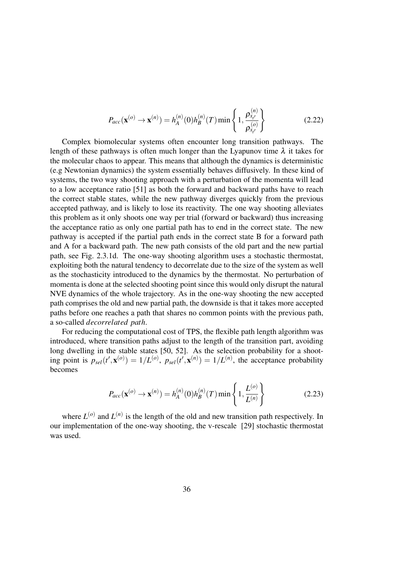$$
P_{acc}(\mathbf{x}^{(o)} \to \mathbf{x}^{(n)}) = h_A^{(n)}(0)h_B^{(n)}(T)\min\left\{1, \frac{\rho_{x_{t'}}^{(n)}}{\rho_{x_{t'}}^{(o)}}\right\}
$$
(2.22)

Complex biomolecular systems often encounter long transition pathways. The length of these pathways is often much longer than the Lyapunov time  $\lambda$  it takes for the molecular chaos to appear. This means that although the dynamics is deterministic (e.g Newtonian dynamics) the system essentially behaves diffusively. In these kind of systems, the two way shooting approach with a perturbation of the momenta will lead to a low acceptance ratio [51] as both the forward and backward paths have to reach the correct stable states, while the new pathway diverges quickly from the previous accepted pathway, and is likely to lose its reactivity. The one way shooting alleviates this problem as it only shoots one way per trial (forward or backward) thus increasing the acceptance ratio as only one partial path has to end in the correct state. The new pathway is accepted if the partial path ends in the correct state B for a forward path and A for a backward path. The new path consists of the old part and the new partial path, see Fig. 2.3.1d. The one-way shooting algorithm uses a stochastic thermostat, exploiting both the natural tendency to decorrelate due to the size of the system as well as the stochasticity introduced to the dynamics by the thermostat. No perturbation of momenta is done at the selected shooting point since this would only disrupt the natural NVE dynamics of the whole trajectory. As in the one-way shooting the new accepted path comprises the old and new partial path, the downside is that it takes more accepted paths before one reaches a path that shares no common points with the previous path, a so-called *decorrelated path*.

For reducing the computational cost of TPS, the flexible path length algorithm was introduced, where transition paths adjust to the length of the transition part, avoiding long dwelling in the stable states [50, 52]. As the selection probability for a shooting point is  $p_{sel}(t', \mathbf{x}^{(o)}) = 1/L^{(o)}, p_{sel}(t', \mathbf{x}^{(n)}) = 1/L^{(n)}$ , the acceptance probability becomes

$$
P_{acc}(\mathbf{x}^{(o)} \to \mathbf{x}^{(n)}) = h_A^{(n)}(0)h_B^{(n)}(T)\min\left\{1, \frac{L^{(o)}}{L^{(n)}}\right\}
$$
(2.23)

where  $L^{(o)}$  and  $L^{(n)}$  is the length of the old and new transition path respectively. In our implementation of the one-way shooting, the v-rescale [29] stochastic thermostat was used.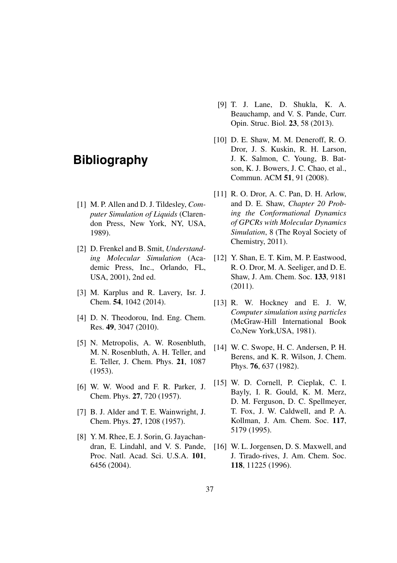# **Bibliography**

- [1] M. P. Allen and D. J. Tildesley, *Computer Simulation of Liquids* (Clarendon Press, New York, NY, USA, 1989).
- [2] D. Frenkel and B. Smit, *Understanding Molecular Simulation* (Academic Press, Inc., Orlando, FL, USA, 2001), 2nd ed.
- [3] M. Karplus and R. Lavery, Isr. J. Chem. 54, 1042 (2014).
- [4] D. N. Theodorou, Ind. Eng. Chem. Res. 49, 3047 (2010).
- [5] N. Metropolis, A. W. Rosenbluth, M. N. Rosenbluth, A. H. Teller, and E. Teller, J. Chem. Phys. 21, 1087 (1953).
- [6] W. W. Wood and F. R. Parker, J. Chem. Phys. 27, 720 (1957).
- [7] B. J. Alder and T. E. Wainwright, J. Chem. Phys. 27, 1208 (1957).
- [8] Y. M. Rhee, E. J. Sorin, G. Jayachandran, E. Lindahl, and V. S. Pande, Proc. Natl. Acad. Sci. U.S.A. 101, 6456 (2004).
- [9] T. J. Lane, D. Shukla, K. A. Beauchamp, and V. S. Pande, Curr. Opin. Struc. Biol. 23, 58 (2013).
- [10] D. E. Shaw, M. M. Deneroff, R. O. Dror, J. S. Kuskin, R. H. Larson, J. K. Salmon, C. Young, B. Batson, K. J. Bowers, J. C. Chao, et al., Commun. ACM 51, 91 (2008).
- [11] R. O. Dror, A. C. Pan, D. H. Arlow, and D. E. Shaw, *Chapter 20 Probing the Conformational Dynamics of GPCRs with Molecular Dynamics Simulation*, 8 (The Royal Society of Chemistry, 2011).
- [12] Y. Shan, E. T. Kim, M. P. Eastwood, R. O. Dror, M. A. Seeliger, and D. E. Shaw, J. Am. Chem. Soc. 133, 9181 (2011).
- [13] R. W. Hockney and E. J. W, *Computer simulation using particles* (McGraw-Hill International Book Co,New York,USA, 1981).
- [14] W. C. Swope, H. C. Andersen, P. H. Berens, and K. R. Wilson, J. Chem. Phys. 76, 637 (1982).
- [15] W. D. Cornell, P. Cieplak, C. I. Bayly, I. R. Gould, K. M. Merz, D. M. Ferguson, D. C. Spellmeyer, T. Fox, J. W. Caldwell, and P. A. Kollman, J. Am. Chem. Soc. 117, 5179 (1995).
- [16] W. L. Jorgensen, D. S. Maxwell, and J. Tirado-rives, J. Am. Chem. Soc. 118, 11225 (1996).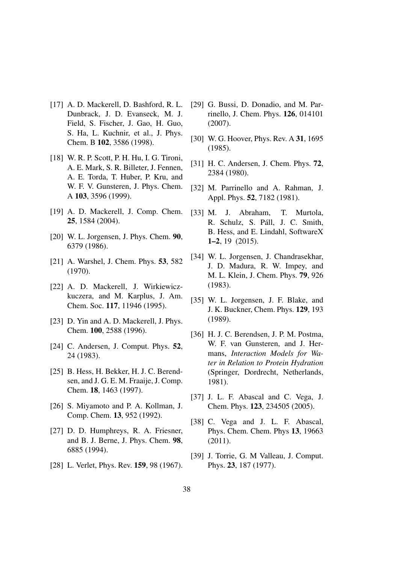- [17] A. D. Mackerell, D. Bashford, R. L. Dunbrack, J. D. Evanseck, M. J. Field, S. Fischer, J. Gao, H. Guo, S. Ha, L. Kuchnir, et al., J. Phys. Chem. B 102, 3586 (1998).
- [18] W. R. P. Scott, P. H. Hu, I. G. Tironi, A. E. Mark, S. R. Billeter, J. Fennen, A. E. Torda, T. Huber, P. Kru, and W. F. V. Gunsteren, J. Phys. Chem. A 103, 3596 (1999).
- [19] A. D. Mackerell, J. Comp. Chem. 25, 1584 (2004).
- [20] W. L. Jorgensen, J. Phys. Chem. **90**, 6379 (1986).
- [21] A. Warshel, J. Chem. Phys. **53**, 582 (1970).
- [22] A. D. Mackerell, J. Wirkiewiczkuczera, and M. Karplus, J. Am. Chem. Soc. 117, 11946 (1995).
- [23] D. Yin and A. D. Mackerell, J. Phys. Chem. 100, 2588 (1996).
- [24] C. Andersen, J. Comput. Phys. 52, 24 (1983).
- [25] B. Hess, H. Bekker, H. J. C. Berendsen, and J. G. E. M. Fraaije, J. Comp. Chem. 18, 1463 (1997).
- [26] S. Miyamoto and P. A. Kollman, J. Comp. Chem. 13, 952 (1992).
- [27] D. D. Humphreys, R. A. Friesner, and B. J. Berne, J. Phys. Chem. 98, 6885 (1994).
- [28] L. Verlet, Phys. Rev. **159**, 98 (1967).
- [29] G. Bussi, D. Donadio, and M. Parrinello, J. Chem. Phys. 126, 014101 (2007).
- [30] W. G. Hoover, Phys. Rev. A 31, 1695 (1985).
- [31] H. C. Andersen, J. Chem. Phys. 72, 2384 (1980).
- [32] M. Parrinello and A. Rahman, J. Appl. Phys. 52, 7182 (1981).
- [33] M. J. Abraham, T. Murtola, R. Schulz, S. Páll, J. C. Smith, B. Hess, and E. Lindahl, SoftwareX 1–2, 19 (2015).
- [34] W. L. Jorgensen, J. Chandrasekhar, J. D. Madura, R. W. Impey, and M. L. Klein, J. Chem. Phys. 79, 926 (1983).
- [35] W. L. Jorgensen, J. F. Blake, and J. K. Buckner, Chem. Phys. 129, 193 (1989).
- [36] H. J. C. Berendsen, J. P. M. Postma, W. F. van Gunsteren, and J. Hermans, *Interaction Models for Water in Relation to Protein Hydration* (Springer, Dordrecht, Netherlands, 1981).
- [37] J. L. F. Abascal and C. Vega, J. Chem. Phys. 123, 234505 (2005).
- [38] C. Vega and J. L. F. Abascal, Phys. Chem. Chem. Phys 13, 19663 (2011).
- [39] J. Torrie, G. M Valleau, J. Comput. Phys. 23, 187 (1977).